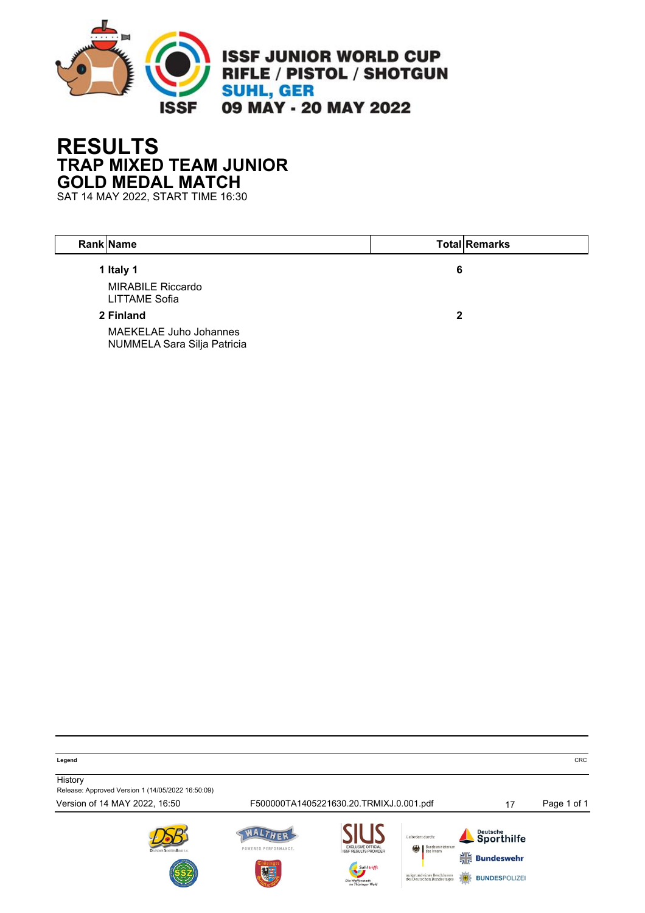

### **RESULTS TRAP MIXED TEAM JUNIOR GOLD MEDAL MATCH**

SAT 14 MAY 2022, START TIME 16:30

| <b>Rank Name</b>                                             |   | <b>Total Remarks</b> |
|--------------------------------------------------------------|---|----------------------|
| 1 Italy 1<br><b>MIRABILE Riccardo</b><br>LITTAME Sofia       | 6 |                      |
| 2 Finland                                                    | 2 |                      |
| <b>MAEKELAE Juho Johannes</b><br>NUMMELA Sara Silja Patricia |   |                      |

**Legend** CRC

**History** Release: Approved Version 1 (14/05/2022 16:50:09)

Version of 14 MAY 2022, 16:50 F500000TA1405221630.20.TRMIXJ.0.001.pdf 17 Page 1 of 1











**BUNDESPOLIZE**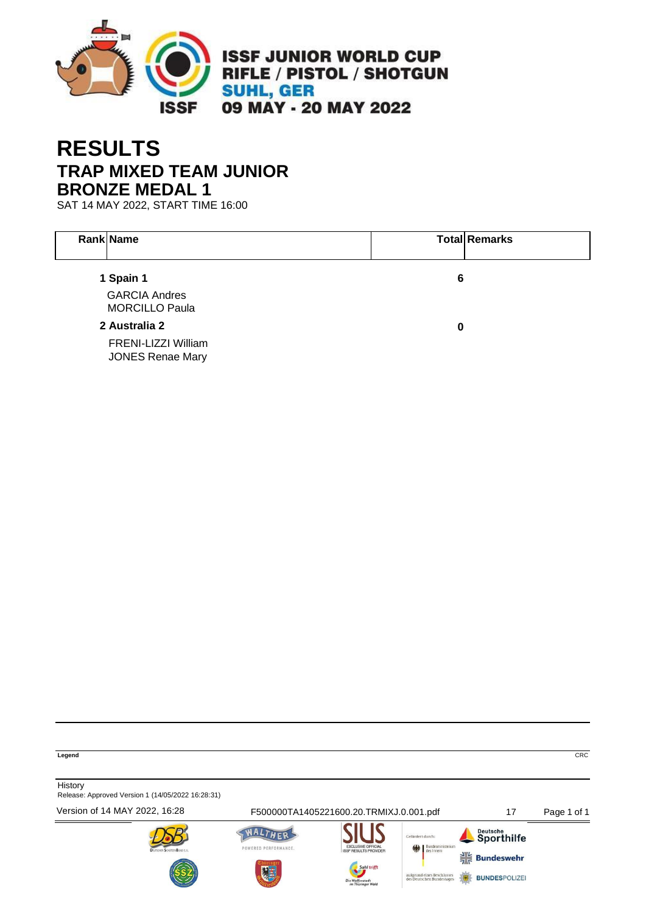

# **RESULTS TRAP MIXED TEAM JUNIOR BRONZE MEDAL 1**

SAT 14 MAY 2022, START TIME 16:00

| <b>Rank Name</b>                               |   | <b>Total Remarks</b> |
|------------------------------------------------|---|----------------------|
| 1 Spain 1                                      | 6 |                      |
| <b>GARCIA Andres</b><br><b>MORCILLO Paula</b>  |   |                      |
| 2 Australia 2                                  | 0 |                      |
| FRENI-LIZZI William<br><b>JONES Renae Mary</b> |   |                      |

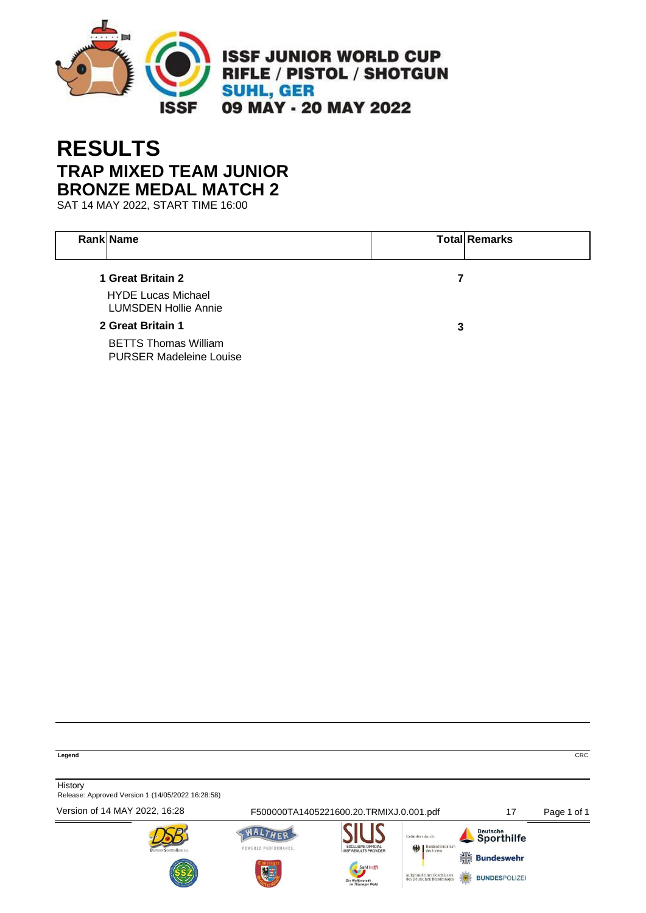

# **RESULTS TRAP MIXED TEAM JUNIOR BRONZE MEDAL MATCH 2**

SAT 14 MAY 2022, START TIME 16:00

| <b>Rank Name</b>                                              |   | <b>Total Remarks</b> |
|---------------------------------------------------------------|---|----------------------|
| 1 Great Britain 2                                             | 7 |                      |
| <b>HYDE Lucas Michael</b><br><b>LUMSDEN Hollie Annie</b>      |   |                      |
| 2 Great Britain 1                                             | 3 |                      |
| <b>BETTS Thomas William</b><br><b>PURSER Madeleine Louise</b> |   |                      |

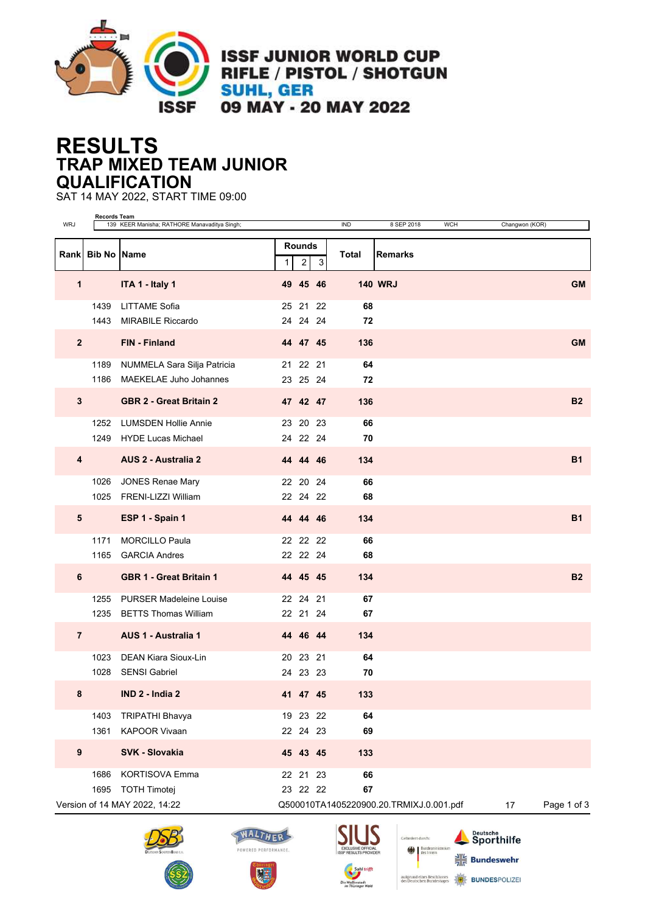

**ISSF JUNIOR WORLD CUP RIFLE / PISTOL / SHOTGUN SUHL, GER** 09 MAY - 20 MAY 2022

#### **RESULTS TRAP MIXED TEAM JUNIOR QUALIFICATION**

SAT 14 MAY 2022, START TIME 09:00

| <b>WRJ</b>       | Records Team     | 139 KEER Manisha; RATHORE Manavaditya Singh; |   |                                 |    | <b>IND</b> | 8 SEP 2018<br><b>WCH</b>                | Changwon (KOR) |             |
|------------------|------------------|----------------------------------------------|---|---------------------------------|----|------------|-----------------------------------------|----------------|-------------|
|                  | Rank Bib No Name |                                              | 1 | <b>Rounds</b><br>$\overline{c}$ | 3  | Total      | <b>Remarks</b>                          |                |             |
| 1                |                  | ITA 1 - Italy 1                              |   | 49 45 46                        |    |            | <b>140 WRJ</b>                          |                | <b>GM</b>   |
|                  | 1439             | <b>LITTAME Sofia</b>                         |   | 25 21                           | 22 | 68         |                                         |                |             |
|                  | 1443             | <b>MIRABILE Riccardo</b>                     |   | 24 24 24                        |    | 72         |                                         |                |             |
| $\overline{2}$   |                  | <b>FIN - Finland</b>                         |   | 44 47 45                        |    | 136        |                                         |                | <b>GM</b>   |
|                  | 1189             | NUMMELA Sara Silja Patricia                  |   | 21 22 21                        |    | 64         |                                         |                |             |
|                  | 1186             | <b>MAEKELAE Juho Johannes</b>                |   | 23 25 24                        |    | 72         |                                         |                |             |
| $\mathbf{3}$     |                  | <b>GBR 2 - Great Britain 2</b>               |   | 47 42 47                        |    | 136        |                                         |                | <b>B2</b>   |
|                  | 1252             | <b>LUMSDEN Hollie Annie</b>                  |   | 23 20 23                        |    | 66         |                                         |                |             |
|                  | 1249             | <b>HYDE Lucas Michael</b>                    |   | 24 22 24                        |    | 70         |                                         |                |             |
| 4                |                  | <b>AUS 2 - Australia 2</b>                   |   | 44 44 46                        |    | 134        |                                         |                | <b>B1</b>   |
|                  | 1026             | <b>JONES Renae Mary</b>                      |   | 22 20 24                        |    | 66         |                                         |                |             |
|                  | 1025             | FRENI-LIZZI William                          |   | 22 24 22                        |    | 68         |                                         |                |             |
| ${\bf 5}$        |                  | ESP 1 - Spain 1                              |   | 44 44 46                        |    | 134        |                                         |                | <b>B1</b>   |
|                  | 1171             | <b>MORCILLO Paula</b>                        |   | 22 22 22                        |    | 66         |                                         |                |             |
|                  | 1165             | <b>GARCIA Andres</b>                         |   | 22 22 24                        |    | 68         |                                         |                |             |
| 6                |                  | <b>GBR 1 - Great Britain 1</b>               |   | 44 45 45                        |    | 134        |                                         |                | <b>B2</b>   |
|                  | 1255             | <b>PURSER Madeleine Louise</b>               |   | 22 24 21                        |    | 67         |                                         |                |             |
|                  | 1235             | <b>BETTS Thomas William</b>                  |   | 22 21 24                        |    | 67         |                                         |                |             |
| $\overline{7}$   |                  | <b>AUS 1 - Australia 1</b>                   |   | 44 46 44                        |    | 134        |                                         |                |             |
|                  | 1023             | <b>DEAN Kiara Sioux-Lin</b>                  |   | 20 23                           | 21 | 64         |                                         |                |             |
|                  | 1028             | <b>SENSI Gabriel</b>                         |   | 24 23 23                        |    | 70         |                                         |                |             |
| 8                |                  | IND 2 - India 2                              |   | 41 47 45                        |    | 133        |                                         |                |             |
|                  | 1403             | <b>TRIPATHI Bhavya</b>                       |   | 19 23 22                        |    | 64         |                                         |                |             |
|                  | 1361             | <b>KAPOOR Vivaan</b>                         |   | 22 24 23                        |    | 69         |                                         |                |             |
| $\boldsymbol{9}$ |                  | SVK - Slovakia                               |   | 45 43 45                        |    | 133        |                                         |                |             |
|                  | 1686             | <b>KORTISOVA Emma</b>                        |   | 22 21 23                        |    | 66         |                                         |                |             |
|                  | 1695             | <b>TOTH Timotej</b>                          |   | 23 22 22                        |    | 67         |                                         |                |             |
|                  |                  | Version of 14 MAY 2022, 14:22                |   |                                 |    |            | Q500010TA1405220900.20.TRMIXJ.0.001.pdf | 17             | Page 1 of 3 |







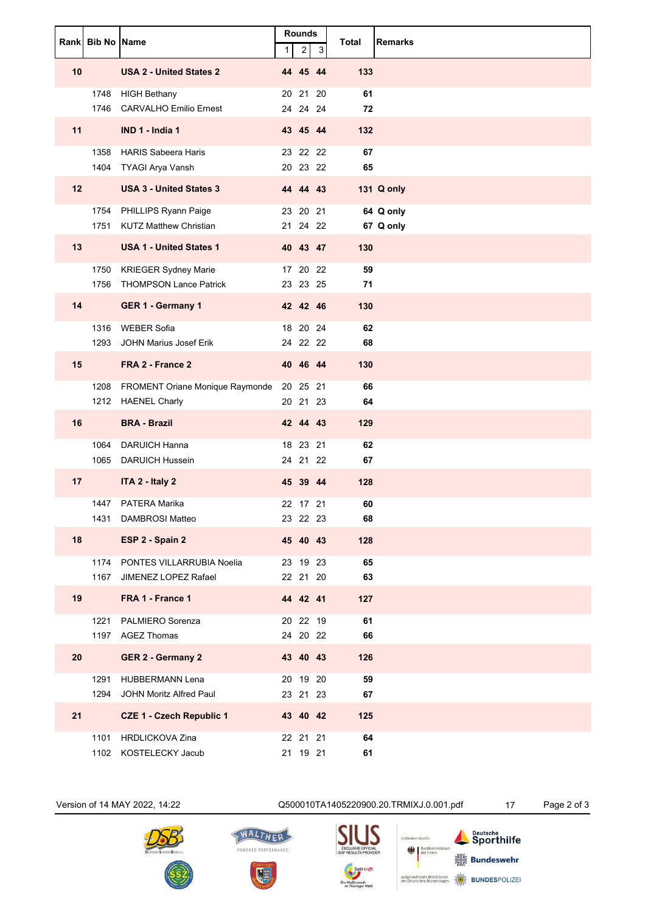|                   | Rank Bib No Name |                                                            | $\mathbf{1}$ | Rounds<br>$\overline{\mathbf{c}}$ | 3 | <b>Total</b> | <b>Remarks</b>         |
|-------------------|------------------|------------------------------------------------------------|--------------|-----------------------------------|---|--------------|------------------------|
| 10                |                  | <b>USA 2 - United States 2</b>                             |              | 44 45 44                          |   | 133          |                        |
|                   |                  | 1748 HIGH Bethany<br>1746 CARVALHO Emilio Ernest           |              | 20 21 20<br>24 24 24              |   | 61<br>72     |                        |
| 11                |                  | IND 1 - India 1                                            |              | 43 45 44                          |   | 132          |                        |
|                   |                  | 1358 HARIS Sabeera Haris<br>1404 TYAGI Arya Vansh          |              | 23 22 22<br>20 23 22              |   | 67<br>65     |                        |
| $12 \overline{ }$ |                  | <b>USA 3 - United States 3</b>                             |              | 44 44 43                          |   |              | 131 Q only             |
|                   |                  | 1754 PHILLIPS Ryann Paige<br>1751 KUTZ Matthew Christian   |              | 23 20 21<br>21 24 22              |   |              | 64 Q only<br>67 Q only |
| 13                |                  | <b>USA 1 - United States 1</b>                             |              | 40 43 47                          |   | 130          |                        |
|                   | 1756             | 1750 KRIEGER Sydney Marie<br><b>THOMPSON Lance Patrick</b> |              | 17 20 22<br>23 23 25              |   | 59<br>71     |                        |
| 14                |                  | GER 1 - Germany 1                                          |              | 42 42 46                          |   | 130          |                        |
|                   | 1293             | 1316 WEBER Sofia<br>JOHN Marius Josef Erik                 |              | 18 20 24<br>24 22 22              |   | 62<br>68     |                        |
| 15                |                  | FRA 2 - France 2                                           |              | 40 46 44                          |   | 130          |                        |
|                   |                  | 1208 FROMENT Oriane Monique Raymonde<br>1212 HAENEL Charly |              | 20 25 21<br>20 21 23              |   | 66<br>64     |                        |
| 16                |                  | <b>BRA - Brazil</b>                                        |              | 42 44 43                          |   | 129          |                        |
|                   | 1064             | <b>DARUICH Hanna</b><br>1065 DARUICH Hussein               |              | 18 23 21<br>24 21 22              |   | 62<br>67     |                        |
| 17                |                  | ITA 2 - Italy 2                                            |              | 45 39 44                          |   | 128          |                        |
|                   | 1431             | 1447 PATERA Marika<br>DAMBROSI Matteo                      |              | 22 17 21<br>23 22 23              |   | 60<br>68     |                        |
| 18                |                  | ESP 2 - Spain 2                                            |              | 45 40 43                          |   | 128          |                        |
|                   |                  | 1174 PONTES VILLARRUBIA Noelia                             |              | 23 19 23                          |   | 65           |                        |
| 19                |                  | 1167 JIMENEZ LOPEZ Rafael<br>FRA 1 - France 1              |              | 22 21 20<br>44 42 41              |   | 63<br>127    |                        |
|                   | 1221             | PALMIERO Sorenza                                           |              | 20 22 19                          |   | 61           |                        |
| 20                | 1197             | <b>AGEZ Thomas</b><br><b>GER 2 - Germany 2</b>             |              | 24 20 22<br>43 40 43              |   | 66<br>126    |                        |
|                   | 1291             | <b>HUBBERMANN Lena</b>                                     |              | 20 19 20                          |   | 59           |                        |
|                   | 1294             | JOHN Moritz Alfred Paul                                    |              | 23 21 23                          |   | 67           |                        |
| 21                | 1101             | <b>CZE 1 - Czech Republic 1</b><br><b>HRDLICKOVA Zina</b>  |              | 43 40 42<br>22 21 21              |   | 125<br>64    |                        |
|                   |                  | 1102 KOSTELECKY Jacub                                      |              | 21 19 21                          |   | 61           |                        |



Version of 14 MAY 2022, 14:22 Q500010TA1405220900.20.TRMIXJ.0.001.pdf 17 Page 2 of 3

Gefördert durch:

Bundesmin

aufgrund eines Beschlusses<br>des Deutschen Bundestages

Deutsche<br>Sporthilfe

 $\frac{1}{16}$  Bundeswehr

**BUNDESPOLIZE** 



新